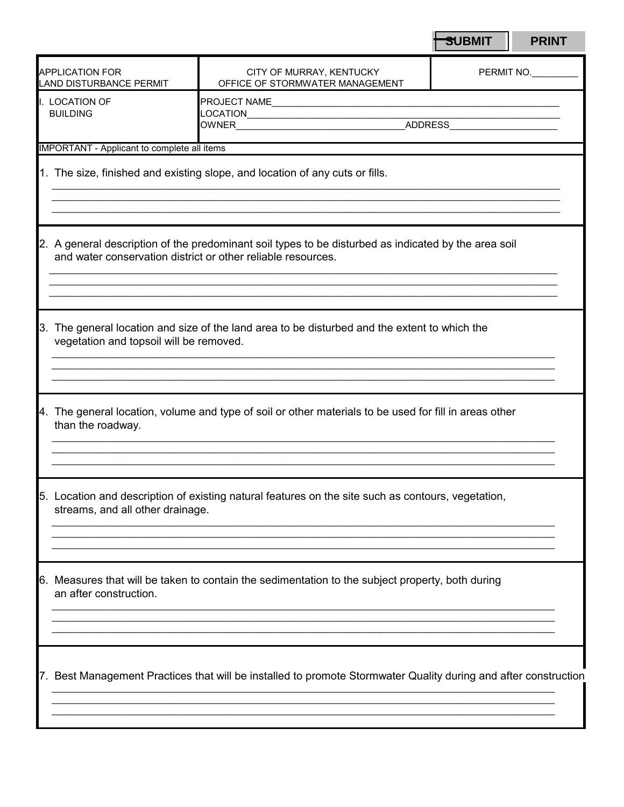|                                                                                                                         |                                             |                                                                                                                                                                      | <b>SUBMIT</b> | <b>PRINT</b> |
|-------------------------------------------------------------------------------------------------------------------------|---------------------------------------------|----------------------------------------------------------------------------------------------------------------------------------------------------------------------|---------------|--------------|
| <b>APPLICATION FOR</b><br>CITY OF MURRAY, KENTUCKY<br>OFFICE OF STORMWATER MANAGEMENT<br><b>LAND DISTURBANCE PERMIT</b> |                                             |                                                                                                                                                                      | PERMIT NO.    |              |
|                                                                                                                         | I. LOCATION OF<br><b>BUILDING</b>           |                                                                                                                                                                      |               |              |
|                                                                                                                         | IMPORTANT - Applicant to complete all items |                                                                                                                                                                      |               |              |
|                                                                                                                         |                                             | 1. The size, finished and existing slope, and location of any cuts or fills.                                                                                         |               |              |
|                                                                                                                         |                                             | 2. A general description of the predominant soil types to be disturbed as indicated by the area soil<br>and water conservation district or other reliable resources. |               |              |
|                                                                                                                         | vegetation and topsoil will be removed.     | 3. The general location and size of the land area to be disturbed and the extent to which the                                                                        |               |              |
|                                                                                                                         | than the roadway.                           | 4. The general location, volume and type of soil or other materials to be used for fill in areas other                                                               |               |              |
|                                                                                                                         | streams, and all other drainage.            | 5. Location and description of existing natural features on the site such as contours, vegetation,                                                                   |               |              |
|                                                                                                                         | an after construction.                      | 6. Measures that will be taken to contain the sedimentation to the subject property, both during                                                                     |               |              |
|                                                                                                                         |                                             | 7. Best Management Practices that will be installed to promote Stormwater Quality during and after construction                                                      |               |              |
|                                                                                                                         |                                             |                                                                                                                                                                      |               |              |